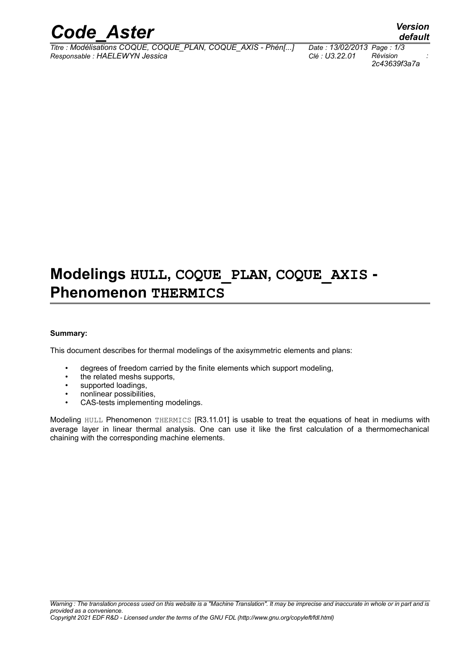

*Titre : Modélisations COQUE, COQUE\_PLAN, COQUE\_AXIS - Phén[...] Date : 13/02/2013 Page : 1/3 Responsable : HAELEWYN Jessica Clé : U3.22.01 Révision :*

*2c43639f3a7a*

## **Modelings HULL, COQUE\_PLAN, COQUE\_AXIS - Phenomenon THERMICS**

#### **Summary:**

This document describes for thermal modelings of the axisymmetric elements and plans:

- degrees of freedom carried by the finite elements which support modeling,
- the related meshs supports.
- supported loadings,
- nonlinear possibilities,
- CAS-tests implementing modelings.

Modeling HULL Phenomenon THERMICS [R3.11.01] is usable to treat the equations of heat in mediums with average layer in linear thermal analysis. One can use it like the first calculation of a thermomechanical chaining with the corresponding machine elements.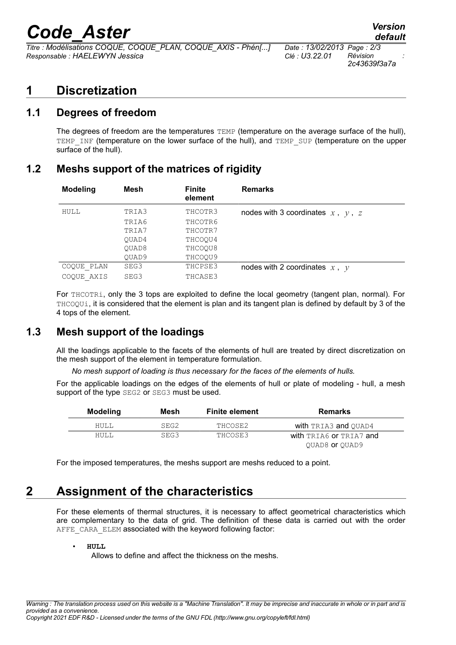# *Code\_Aster Version*

*Titre : Modélisations COQUE, COQUE\_PLAN, COQUE\_AXIS - Phén[...] Date : 13/02/2013 Page : 2/3 Responsable : HAELEWYN Jessica Clé : U3.22.01 Révision :*

*2c43639f3a7a*

#### **1 Discretization**

#### **1.1 Degrees of freedom**

The degrees of freedom are the temperatures TEMP (temperature on the average surface of the hull), TEMP\_INF (temperature on the lower surface of the hull), and TEMP\_SUP (temperature on the upper surface of the hull).

#### **1.2 Meshs support of the matrices of rigidity**

| <b>Modeling</b> | Mesh  | <b>Finite</b><br>element | <b>Remarks</b>                           |
|-----------------|-------|--------------------------|------------------------------------------|
| HULL            | TRIA3 | THCOTR3                  | nodes with 3 coordinates $x$ , $y$ , $z$ |
|                 | TRIA6 | THCOTR6                  |                                          |
|                 | TRIA7 | THCOTR7                  |                                          |
|                 | OUAD4 | THCOOU4                  |                                          |
|                 | OUAD8 | THCOOU8                  |                                          |
|                 | OUAD9 | THCOOU9                  |                                          |
| COQUE PLAN      | SEG3  | THCPSE3                  | nodes with 2 coordinates $x$ , $y$       |
| COOUE AXIS      | SEG3  | THCASE3                  |                                          |

For THCOTRi, only the 3 tops are exploited to define the local geometry (tangent plan, normal). For THCOQUi, it is considered that the element is plan and its tangent plan is defined by default by 3 of the 4 tops of the element.

#### **1.3 Mesh support of the loadings**

All the loadings applicable to the facets of the elements of hull are treated by direct discretization on the mesh support of the element in temperature formulation.

*No mesh support of loading is thus necessary for the faces of the elements of hulls.*

For the applicable loadings on the edges of the elements of hull or plate of modeling - hull, a mesh support of the type SEG2 or SEG3 must be used.

| Modeling    | Mesh | <b>Finite element</b> | Remarks                 |
|-------------|------|-----------------------|-------------------------|
| HULL        | SEG2 | THCOSE2               | with TRIA3 and OUAD4    |
| <b>HULL</b> | SEG3 | THCOSE3               | with TRIA6 or TRIA7 and |
|             |      |                       | OUAD8 or OUAD9          |

For the imposed temperatures, the meshs support are meshs reduced to a point.

## **2 Assignment of the characteristics**

For these elements of thermal structures, it is necessary to affect geometrical characteristics which are complementary to the data of grid. The definition of these data is carried out with the order AFFE\_CARA\_ELEM associated with the keyword following factor:

Allows to define and affect the thickness on the meshs.

<sup>•</sup> **HULL**